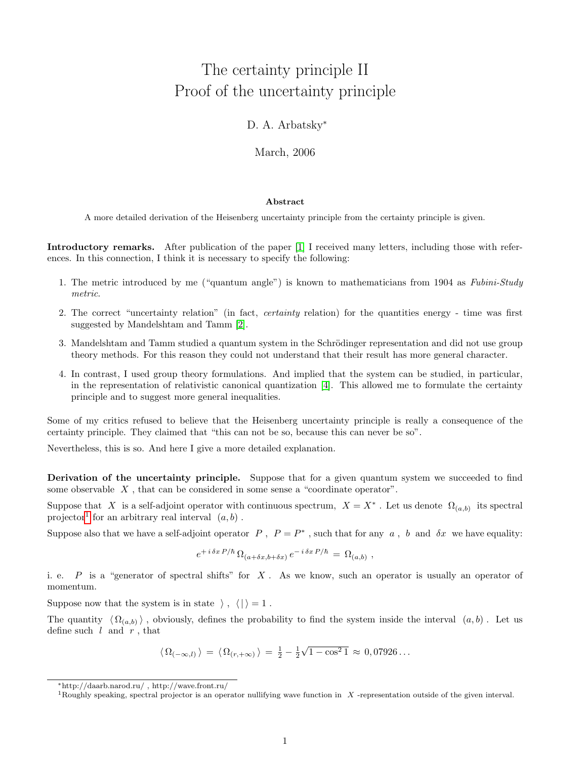## The certainty principle II Proof of the uncertainty principle

## D. A. Arbatsky<sup>\*</sup>

March, 2006

## Abstract

A more detailed derivation of the Heisenberg uncertainty principle from the certainty principle is given.

Introductory remarks. After publication of the paper [\[1\]](#page-1-0) I received many letters, including those with references. In this connection, I think it is necessary to specify the following:

- 1. The metric introduced by me ("quantum angle") is known to mathematicians from 1904 as Fubini-Study metric.
- 2. The correct "uncertainty relation" (in fact, certainty relation) for the quantities energy time was first suggested by Mandelshtam and Tamm [\[2\]](#page-2-0).
- 3. Mandelshtam and Tamm studied a quantum system in the Schrödinger representation and did not use group theory methods. For this reason they could not understand that their result has more general character.
- 4. In contrast, I used group theory formulations. And implied that the system can be studied, in particular, in the representation of relativistic canonical quantization [\[4\]](#page-2-1). This allowed me to formulate the certainty principle and to suggest more general inequalities.

Some of my critics refused to believe that the Heisenberg uncertainty principle is really a consequence of the certainty principle. They claimed that "this can not be so, because this can never be so".

Nevertheless, this is so. And here I give a more detailed explanation.

Derivation of the uncertainty principle. Suppose that for a given quantum system we succeeded to find some observable  $X$ , that can be considered in some sense a "coordinate operator".

Suppose that X is a self-adjoint operator with continuous spectrum,  $X = X^*$ . Let us denote  $\Omega_{(a,b)}$  its spectral projector<sup>[1](#page-0-0)</sup> for an arbitrary real interval  $(a, b)$ .

Suppose also that we have a self-adjoint operator  $P$ ,  $P = P^*$ , such that for any  $a$ ,  $b$  and  $\delta x$  we have equality:

$$
e^{+i \delta x P/\hbar} \, \Omega_{(a+\delta x,b+\delta x)} \, e^{-i \delta x P/\hbar} = \Omega_{(a,b)} \ ,
$$

i. e.  $P$  is a "generator of spectral shifts" for  $X$ . As we know, such an operator is usually an operator of momentum.

Suppose now that the system is in state  $\langle , \langle | \rangle = 1$ .

The quantity  $\langle \Omega_{(a,b)} \rangle$ , obviously, defines the probability to find the system inside the interval  $(a, b)$ . Let us define such  $l$  and  $r$ , that

$$
\langle \Omega_{(-\infty,l)} \rangle = \langle \Omega_{(r,+\infty)} \rangle = \frac{1}{2} - \frac{1}{2}\sqrt{1 - \cos^2 1} \approx 0,07926...
$$

<sup>∗</sup>http://daarb.narod.ru/ , http://wave.front.ru/

<span id="page-0-0"></span><sup>&</sup>lt;sup>1</sup>Roughly speaking, spectral projector is an operator nullifying wave function in  $X$ -representation outside of the given interval.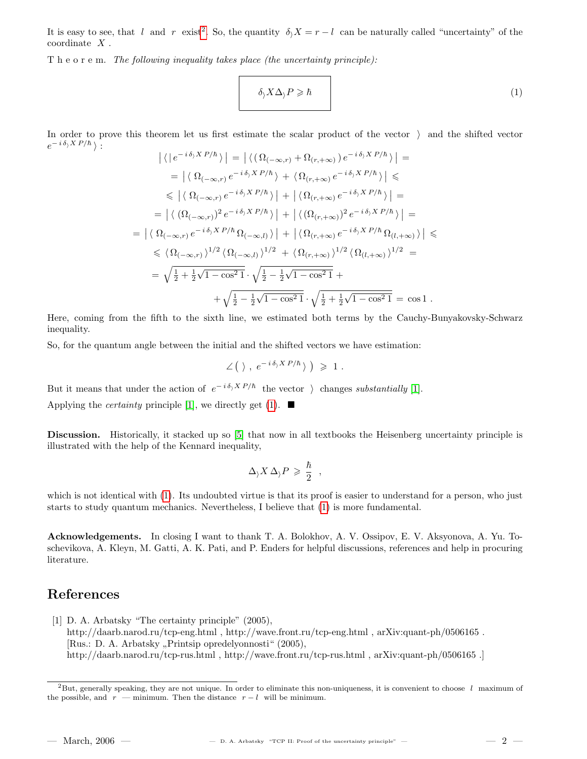It is easy to see, that l and r exist<sup>[2](#page-1-1)</sup>. So, the quantity  $\delta_1 X = r - l$  can be naturally called "uncertainty" of the coordinate X .

T h e o r e m. The following inequality takes place (the uncertainty principle):

<span id="page-1-2"></span>
$$
\delta_j X \Delta_j P \geqslant \hbar \tag{1}
$$

In order to prove this theorem let us first estimate the scalar product of the vector  $\lambda$  and the shifted vector  $e^{-i\delta_{\rangle}X P/\hbar}$ :

$$
\left| \langle |e^{-i \delta_{j} X P/\hbar} \rangle \right| = \left| \langle \left( \Omega_{(-\infty,r)} + \Omega_{(r,+\infty)} \right) e^{-i \delta_{j} X P/\hbar} \rangle \right| =
$$
  
\n
$$
= \left| \langle \Omega_{(-\infty,r)} e^{-i \delta_{j} X P/\hbar} \rangle + \langle \Omega_{(r,+\infty)} e^{-i \delta_{j} X P/\hbar} \rangle \right| \le
$$
  
\n
$$
\leq \left| \langle \Omega_{(-\infty,r)} e^{-i \delta_{j} X P/\hbar} \rangle \right| + \left| \langle \Omega_{(r,+\infty)} e^{-i \delta_{j} X P/\hbar} \rangle \right| =
$$
  
\n
$$
= \left| \langle \left( \Omega_{(-\infty,r)} \right)^{2} e^{-i \delta_{j} X P/\hbar} \rangle \right| + \left| \langle \left( \Omega_{(r,+\infty)} \right)^{2} e^{-i \delta_{j} X P/\hbar} \rangle \right| =
$$
  
\n
$$
= \left| \langle \Omega_{(-\infty,r)} e^{-i \delta_{j} X P/\hbar} \Omega_{(-\infty,l)} \rangle \right| + \left| \langle \Omega_{(r,+\infty)} e^{-i \delta_{j} X P/\hbar} \Omega_{(l,+\infty)} \rangle \right| \le
$$
  
\n
$$
\leq \langle \Omega_{(-\infty,r)} \rangle^{1/2} \langle \Omega_{(-\infty,l)} \rangle^{1/2} + \langle \Omega_{(r,+\infty)} \rangle^{1/2} \langle \Omega_{(l,+\infty)} \rangle^{1/2} =
$$
  
\n
$$
= \sqrt{\frac{1}{2} + \frac{1}{2} \sqrt{1 - \cos^{2} 1}} \cdot \sqrt{\frac{1}{2} - \frac{1}{2} \sqrt{1 - \cos^{2} 1}} + \sqrt{\frac{1}{2} + \frac{1}{2} \sqrt{1 - \cos^{2} 1}} = \cos 1.
$$

Here, coming from the fifth to the sixth line, we estimated both terms by the Cauchy-Bunyakovsky-Schwarz inequality.

So, for the quantum angle between the initial and the shifted vectors we have estimation:

$$
\angle
$$
( $\rangle$ ,  $e^{-i\delta_{\rangle}X P/\hbar}$ )  $\geq 1$ .

But it means that under the action of  $e^{-i\delta y X P/\hbar}$  the vector  $\;$  changes substantially [\[1\]](#page-1-0).

Applying the *certainty* principle [\[1\]](#page-1-0), we directly get [\(1\)](#page-1-2).  $\blacksquare$ 

Discussion. Historically, it stacked up so [\[5\]](#page-2-2) that now in all textbooks the Heisenberg uncertainty principle is illustrated with the help of the Kennard inequality,

$$
\Delta_\rangle X\,\Delta_\rangle P\,\geqslant\,\frac{\hbar}{2}^{\phantom{-1}}\,\,,
$$

which is not identical with [\(1\)](#page-1-2). Its undoubted virtue is that its proof is easier to understand for a person, who just starts to study quantum mechanics. Nevertheless, I believe that [\(1\)](#page-1-2) is more fundamental.

Acknowledgements. In closing I want to thank T. A. Bolokhov, A. V. Ossipov, E. V. Aksyonova, A. Yu. Toschevikova, A. Kleyn, M. Gatti, A. K. Pati, and P. Enders for helpful discussions, references and help in procuring literature.

## References

<span id="page-1-0"></span>[1] D. A. Arbatsky "The certainty principle" (2005), http://daarb.narod.ru/tcp-eng.html , http://wave.front.ru/tcp-eng.html , arXiv:quant-ph/0506165 . [Rus.: D. A. Arbatsky "Printsip opredelyonnosti" (2005), http://daarb.narod.ru/tcp-rus.html , http://wave.front.ru/tcp-rus.html , arXiv:quant-ph/0506165 .]

<span id="page-1-1"></span><sup>&</sup>lt;sup>2</sup>But, generally speaking, they are not unique. In order to eliminate this non-uniqueness, it is convenient to choose  $l$  maximum of the possible, and  $r$  — minimum. Then the distance  $r - l$  will be minimum.